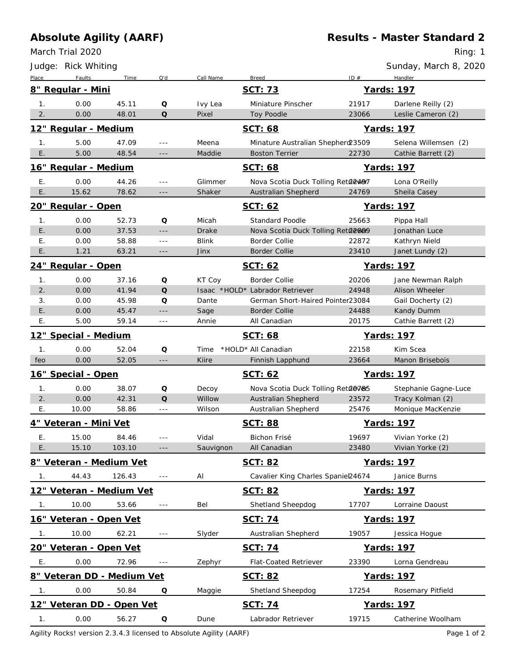## **Absolute Agility (AARF)**

March Trial 2020

Ring: 1

|                       | Judge: Rick Whiting        |         |                      |              |                                    |       | Sunday, March 8, 2020   |  |
|-----------------------|----------------------------|---------|----------------------|--------------|------------------------------------|-------|-------------------------|--|
| Place                 | Faults                     | Time    | Q'd                  | Call Name    | <b>Breed</b>                       | ID#   | Handler                 |  |
|                       | 8" Regular - Mini          |         |                      |              | SCT: 73                            |       | Yards: 197              |  |
| 1.                    | 0.00                       | 45.11   | Q                    | Ivy Lea      | Miniature Pinscher                 | 21917 | Darlene Reilly (2)      |  |
| 2.                    | 0.00                       | 48.01   | Q                    | Pixel        | Toy Poodle                         | 23066 | Leslie Cameron (2)      |  |
|                       | 12" Regular - Medium       |         |                      |              | SCT: 68                            |       | Yards: 197              |  |
| 1.                    | 5.00                       | 47.09   | ---                  | Meena        | Minature Australian Shepherd 23509 |       | Selena Willemsen (2)    |  |
| $\sqrt{E}$ .          | 5.00                       | 48.54   | $- - -$              | Maddie       | <b>Boston Terrier</b>              | 22730 | Cathie Barrett (2)      |  |
|                       | 16" Regular - Medium       |         |                      |              | SCT: 68                            |       | Yards: 197              |  |
| Е.                    | 0.00                       | 44.26   | $\sim$ $\sim$ $\sim$ | Glimmer      | Nova Scotia Duck Tolling Reta2497  |       | Lona O'Reilly           |  |
| Ε.                    | 15.62                      | 78.62   | $- - -$              | Shaker       | Australian Shepherd                | 24769 | Sheila Casey            |  |
|                       | 20" Regular - Open         |         |                      |              | SCT: 62                            |       | Yards: 197              |  |
| 1.                    | 0.00                       | 52.73   | Q                    | Micah        | <b>Standard Poodle</b>             | 25663 | Pippa Hall              |  |
| E.                    | 0.00                       | 37.53   | $  -$                | <b>Drake</b> | Nova Scotia Duck Tolling Reta2009  |       | Jonathan Luce           |  |
| Ε.                    | 0.00                       | 58.88   | $\sim$ $\sim$ $\sim$ | <b>Blink</b> | Border Collie                      | 22872 | Kathryn Nield           |  |
| Ε.                    | 1.21                       | 63.21   | $- - -$              | Jinx         | <b>Border Collie</b>               | 23410 | Janet Lundy (2)         |  |
| 24" Regular - Open    |                            |         |                      |              | SCT: 62                            |       | Yards: 197              |  |
| 1.                    | 0.00                       | 37.16   | Q                    | KT Coy       | <b>Border Collie</b>               | 20206 | Jane Newman Ralph       |  |
| 2.                    | 0.00                       | 41.94   | Q                    |              | Isaac *HOLD* Labrador Retriever    | 24948 | Alison Wheeler          |  |
| 3.                    | 0.00                       | 45.98   | Q                    | Dante        | German Short-Haired Pointer23084   |       | Gail Docherty (2)       |  |
| E.                    | 0.00                       | 45.47   | ---                  | Sage         | <b>Border Collie</b>               | 24488 | Kandy Dumm              |  |
| Ε.                    | 5.00                       | 59.14   | $\sim$ $\sim$ $\sim$ | Annie        | All Canadian                       | 20175 | Cathie Barrett (2)      |  |
| 12" Special - Medium  |                            |         |                      |              | SCT: 68                            |       | Yards: 197              |  |
| 1.                    | 0.00                       | 52.04   | Q                    | Time         | *HOLD* All Canadian                | 22158 | Kim Scea                |  |
| feo                   | 0.00                       | 52.05   | ---                  | Kiire        | Finnish Lapphund                   | 23664 | Manon Brisebois         |  |
|                       | 16" Special - Open         |         |                      |              | SCT: 62                            |       | Yards: 197              |  |
| 1.                    | 0.00                       | 38.07   | Q                    | Decoy        | Nova Scotia Duck Tolling Reta@7&5  |       | Stephanie Gagne-Luce    |  |
| 2.                    | 0.00                       | 42.31   | Q                    | Willow       | Australian Shepherd                | 23572 | Tracy Kolman (2)        |  |
| Е.                    | 10.00                      | 58.86   | $\sim$ $\sim$ $\sim$ | Wilson       | Australian Shepherd                | 25476 | Monique MacKenzie       |  |
| 4" Veteran - Mini Vet |                            |         |                      |              | <b>SCT: 88</b>                     |       | Yards: 197              |  |
| Е.                    | 15.00                      | 84.46   |                      | Vidal        | Bichon Frisé                       | 19697 | Vivian Yorke (2)        |  |
| E.                    | 15.10                      | 103.10  | $\sim$ $\sim$ $\sim$ | Sauvignon    | All Canadian                       | 23480 | Vivian Yorke (2)        |  |
|                       | 8" Veteran - Medium Vet    |         |                      |              | <b>SCT: 82</b>                     |       | Yards: 197              |  |
| 1.                    | 44.43                      | 126.43  | $\sim$ $\sim$ $\sim$ | Al           | Cavalier King Charles Spaniel24674 |       | Janice Burns            |  |
|                       | 12" Veteran - Medium Vet   |         |                      |              | SCT: 82                            |       | Yards: 197              |  |
| $\overline{1}$ .      | 10.00                      | 53.66   | $  -$                | Bel          | Shetland Sheepdog                  | 17707 | Lorraine Daoust         |  |
|                       | 16" Veteran - Open Vet     |         |                      |              | SCT: 74                            |       | Yards: 197              |  |
| $\overline{1}$ .      | 10.00                      | 62.21   | $\sim$ $\sim$ $\sim$ | Slyder       | Australian Shepherd                | 19057 | Jessica Hogue           |  |
|                       | 20" Veteran - Open Vet     |         |                      |              | <u>SCT: 74</u>                     |       | Yards: 197              |  |
|                       |                            |         |                      |              |                                    |       |                         |  |
| Ε.                    | 0.00                       | 72.96   | $\sim$ $\sim$ $\sim$ | Zephyr       | Flat-Coated Retriever              | 23390 | Lorna Gendreau          |  |
|                       | 8" Veteran DD - Medium Vet |         |                      |              | <u>SCT: 82</u>                     |       | Yards: 197              |  |
| 1.                    | 0.00                       | 50.84   | Q                    | Maggie       | Shetland Sheepdog                  | 17254 | Rosemary Pitfield       |  |
|                       | 12" Veteran DD - Open Vet  |         |                      |              | <u>SCT: 74</u>                     |       | Yards: 197              |  |
| $1_{\cdot}$           | 0.00                       | 56.27 Q |                      | Dune         | Labrador Retriever                 |       | 19715 Catherine Woolham |  |

Agility Rocks! version 2.3.4.3 licensed to Absolute Agility (AARF) And the extendion of 2